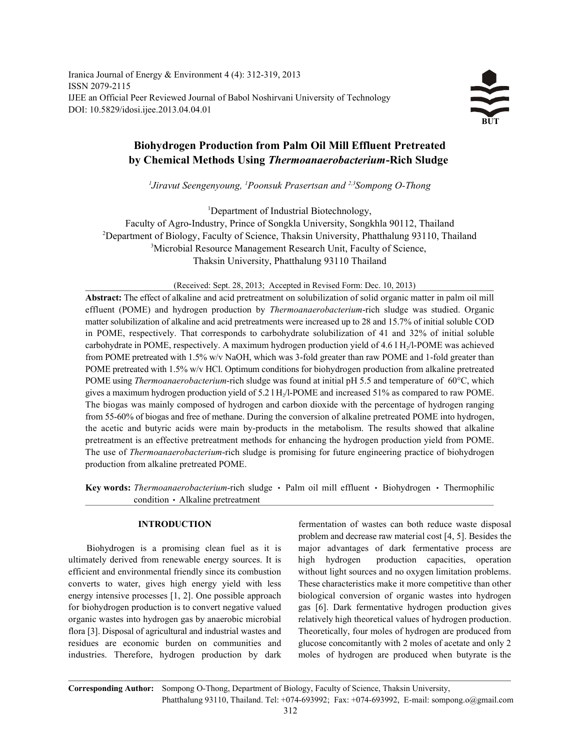Iranica Journal of Energy & Environment 4 (4): 312-319, 2013 ISSN 2079-2115 IJEE an Official Peer Reviewed Journal of Babol Noshirvani University of Technology DOI: 10.5829/idosi.ijee.2013.04.04.01



# **Biohydrogen Production from Palm Oil Mill Effluent Pretreated by Chemical Methods Using** *Thermoanaerobacterium***-Rich Sludge**

*Jiravut Seengenyoung, <sup>1</sup>Poonsuk Prasertsan and <sup>2,3</sup> Sompong O-Thong* 

<sup>1</sup>Department of Industrial Biotechnology,

Faculty of Agro-Industry, Prince of Songkla University, Songkhla 90112, Thailand <sup>2</sup>Department of Biology, Faculty of Science, Thaksin University, Phatthalung 93110, Thailand <sup>3</sup>Microbial Resource Management Research Unit, Faculty of Science, Thaksin University, Phatthalung 93110 Thailand

(Received: Sept. 28, 2013; Accepted in Revised Form: Dec. 10, 2013)

**Abstract:** The effect of alkaline and acid pretreatment on solubilization of solid organic matter in palm oil mill effluent (POME) and hydrogen production by *Thermoanaerobacterium*-rich sludge was studied. Organic matter solubilization of alkaline and acid pretreatments were increased up to 28 and 15.7% of initial soluble COD in POME, respectively. That corresponds to carbohydrate solubilization of 41 and 32% of initial soluble carbohydrate in POME, respectively. A maximum hydrogen production yield of  $4.6$  l H $/$ l-POME was achieved from POME pretreated with 1.5% w/v NaOH, which was 3-fold greater than raw POME and 1-fold greater than POME pretreated with 1.5% w/v HCl. Optimum conditions for biohydrogen production from alkaline pretreated POME using *Thermoanaerobacterium*-rich sludge was found at initial pH 5.5 and temperature of 60°C, which gives a maximum hydrogen production yield of  $5.21$  H<sub>2</sub>/l-POME and increased  $51\%$  as compared to raw POME. The biogas was mainly composed of hydrogen and carbon dioxide with the percentage of hydrogen ranging from 55-60% of biogas and free of methane. During the conversion of alkaline pretreated POME into hydrogen, the acetic and butyric acids were main by-products in the metabolism. The results showed that alkaline pretreatment is an effective pretreatment methods for enhancing the hydrogen production yield from POME. The use of *Thermoanaerobacterium*-rich sludge is promising for future engineering practice of biohydrogen production from alkaline pretreated POME.

Key words: *Thermoanaerobacterium*-rich sludge · Palm oil mill effluent · Biohydrogen · Thermophilic condition • Alkaline pretreatment

ultimately derived from renewable energy sources. It is high hydrogen production capacities, operation efficient and environmental friendly since its combustion without light sources and no oxygen limitation problems. converts to water, gives high energy yield with less These characteristics make it more competitive than other energy intensive processes [1, 2]. One possible approach biological conversion of organic wastes into hydrogen for biohydrogen production is to convert negative valued gas [6]. Dark fermentative hydrogen production gives organic wastes into hydrogen gas by anaerobic microbial relatively high theoretical values of hydrogen production. flora [3]. Disposal of agricultural and industrial wastes and Theoretically, four moles of hydrogen are produced from residues are economic burden on communities and glucose concomitantly with 2 moles of acetate and only 2 industries. Therefore, hydrogen production by dark moles of hydrogen are produced when butyrate is the

**INTRODUCTION** fermentation of wastes can both reduce waste disposal Biohydrogen is a promising clean fuel as it is major advantages of dark fermentative process are problem and decrease raw material cost [4, 5]. Besides the

**Corresponding Author:** Sompong O-Thong, Department of Biology, Faculty of Science, Thaksin University, Phatthalung 93110, Thailand. Tel: +074-693992; Fax: +074-693992, E-mail: sompong.o@gmail.com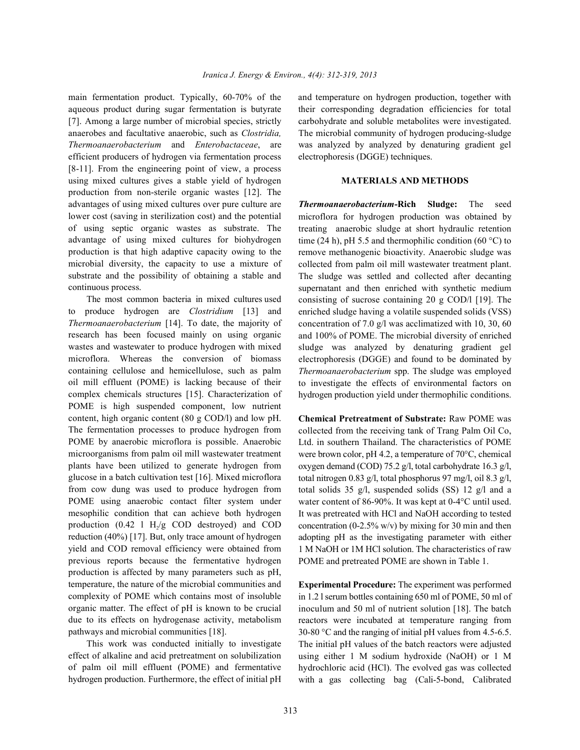aqueous product during sugar fermentation is butyrate their corresponding degradation efficiencies for total [7]. Among a large number of microbial species, strictly carbohydrate and soluble metabolites were investigated. anaerobes and facultative anaerobic, such as *Clostridia,* The microbial community of hydrogen producing-sludge *Thermoanaerobacterium* and *Enterobactaceae*, are was analyzed by analyzed by denaturing gradient gel efficient producers of hydrogen via fermentation process electrophoresis (DGGE) techniques. [8-11]. From the engineering point of view, a process using mixed cultures gives a stable yield of hydrogen **MATERIALS AND METHODS** production from non-sterile organic wastes [12]. The advantages of using mixed cultures over pure culture are *Thermoanaerobacterium***-Rich Sludge:** The seed lower cost (saving in sterilization cost) and the potential of using septic organic wastes as substrate. The advantage of using mixed cultures for biohydrogen production is that high adaptive capacity owing to the microbial diversity, the capacity to use a mixture of substrate and the possibility of obtaining a stable and continuous process.

The most common bacteria in mixed cultures used to produce hydrogen are *Clostridium* [13] and *Thermoanaerobacterium* [14]. To date, the majority of research has been focused mainly on using organic wastes and wastewater to produce hydrogen with mixed microflora. Whereas the conversion of biomass containing cellulose and hemicellulose, such as palm oil mill effluent (POME) is lacking because of their complex chemicals structures [15]. Characterization of POME is high suspended component, low nutrient content, high organic content (80 g COD/l) and low pH. The fermentation processes to produce hydrogen from POME by anaerobic microflora is possible. Anaerobic microorganisms from palm oil mill wastewater treatment plants have been utilized to generate hydrogen from glucose in a batch cultivation test [16]. Mixed microflora from cow dung was used to produce hydrogen from POME using anaerobic contact filter system under mesophilic condition that can achieve both hydrogen production (0.42 l  $H_2/g$  COD destroyed) and COD reduction (40%) [17]. But, only trace amount of hydrogen yield and COD removal efficiency were obtained from previous reports because the fermentative hydrogen production is affected by many parameters such as pH, temperature, the nature of the microbial communities and complexity of POME which contains most of insoluble organic matter. The effect of pH is known to be crucial due to its effects on hydrogenase activity, metabolism pathways and microbial communities [18].

This work was conducted initially to investigate effect of alkaline and acid pretreatment on solubilization of palm oil mill effluent (POME) and fermentative hydrogen production. Furthermore, the effect of initial pH

main fermentation product. Typically, 60-70% of the and temperature on hydrogen production, together with

microflora for hydrogen production was obtained by treating anaerobic sludge at short hydraulic retention time (24 h), pH 5.5 and thermophilic condition (60  $^{\circ}$ C) to remove methanogenic bioactivity. Anaerobic sludge was collected from palm oil mill wastewater treatment plant. The sludge was settled and collected after decanting supernatant and then enriched with synthetic medium consisting of sucrose containing 20 g COD/l [19]. The enriched sludge having a volatile suspended solids (VSS) concentration of 7.0 g/l was acclimatized with 10, 30, 60 and 100% of POME. The microbial diversity of enriched sludge was analyzed by denaturing gradient gel electrophoresis (DGGE) and found to be dominated by *Thermoanaerobacterium* spp. The sludge was employed to investigate the effects of environmental factors on hydrogen production yield under thermophilic conditions.

**Chemical Pretreatment of Substrate:** Raw POME was collected from the receiving tank of Trang Palm Oil Co, Ltd. in southern Thailand. The characteristics of POME were brown color, pH 4.2, a temperature of 70°C, chemical oxygen demand (COD) 75.2 g/l, total carbohydrate 16.3 g/l, total nitrogen 0.83 g/l, total phosphorus 97 mg/l, oil 8.3 g/l, total solids 35 g/l, suspended solids (SS) 12 g/l and a water content of 86-90%. It was kept at 0-4°C until used. It was pretreated with HCl and NaOH according to tested concentration  $(0-2.5\% \text{ w/v})$  by mixing for 30 min and then adopting pH as the investigating parameter with either 1 M NaOH or 1M HCl solution. The characteristics of raw POME and pretreated POME are shown in Table 1.

**Experimental Procedure:** The experiment was performed in 1.2 l serum bottles containing 650 ml of POME, 50 ml of inoculum and 50 ml of nutrient solution [18]. The batch reactors were incubated at temperature ranging from 30-80 °C and the ranging of initial pH values from 4.5-6.5. The initial pH values of the batch reactors were adjusted using either 1 M sodium hydroxide (NaOH) or 1 M hydrochloric acid (HCl). The evolved gas was collected with a gas collecting bag (Cali-5-bond, Calibrated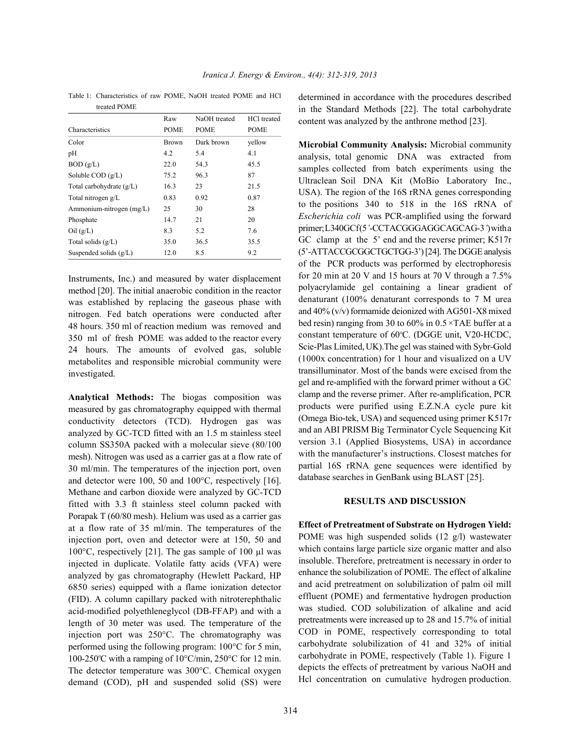|                            | Raw          | NaOH treated | HCl treated |
|----------------------------|--------------|--------------|-------------|
| Characteristics            | <b>POME</b>  | <b>POME</b>  | <b>POME</b> |
| Color                      | <b>Brown</b> | Dark brown   | vellow      |
| pH                         | 4.2          | 5.4          | 4.1         |
| BOD(g/L)                   | 22.0         | 54.3         | 45.5        |
| Soluble $COD$ $(g/L)$      | 75.2         | 96.3         | 87          |
| Total carbohydrate $(g/L)$ | 16.3         | 23           | 21.5        |
| Total nitrogen g/L         | 0.83         | 0.92         | 0.87        |
| Ammonium-nitrogen (mg/L)   | 25           | 30           | 28          |
| Phosphate                  | 14.7         | 21           | 20          |
| $\text{Oil}$ (g/L)         | 8.3          | 5.2          | 7.6         |
| Total solids $(g/L)$       | 35.0         | 36.5         | 35.5        |
| Suspended solids $(g/L)$   | 12.0         | 8.5          | 9.2         |

Table 1: Characteristics of raw POME, NaOH treated POME and HCl treated POME

Instruments, Inc.) and measured by water displacement method [20]. The initial anaerobic condition in the reactor was established by replacing the gaseous phase with nitrogen. Fed batch operations were conducted after 48 hours. 350 ml of reaction medium was removed and 350 ml of fresh POME was added to the reactor every 24 hours. The amounts of evolved gas, soluble metabolites and responsible microbial community were investigated.

**Analytical Methods:** The biogas composition was measured by gas chromatography equipped with thermal conductivity detectors (TCD). Hydrogen gas was analyzed by GC-TCD fitted with an 1.5 m stainless steel column SS350A packed with a molecular sieve (80/100 mesh). Nitrogen was used as a carrier gas at a flow rate of 30 ml/min. The temperatures of the injection port, oven and detector were 100, 50 and 100°C, respectively [16]. Methane and carbon dioxide were analyzed by GC-TCD fitted with 3.3 ft stainless steel column packed with Porapak T (60/80 mesh). Helium was used as a carrier gas at a flow rate of 35 ml/min. The temperatures of the injection port, oven and detector were at 150, 50 and 100 $\degree$ C, respectively [21]. The gas sample of 100 µl was injected in duplicate. Volatile fatty acids (VFA) were analyzed by gas chromatography (Hewlett Packard, HP 6850 series) equipped with a flame ionization detector (FID). A column capillary packed with nitroterephthalic acid-modified polyethleneglycol (DB-FFAP) and with a length of 30 meter was used. The temperature of the injection port was 250°C. The chromatography was performed using the following program: 100°C for 5 min, 100-250 °C with a ramping of  $10^{\circ}$ C/min,  $250^{\circ}$ C for 12 min. The detector temperature was 300°C. Chemical oxygen demand (COD), pH and suspended solid (SS) were determined in accordance with the procedures described in the Standard Methods [22]. The total carbohydrate content was analyzed by the anthrone method [23].

**Microbial Community Analysis:** Microbial community analysis, total genomic DNA was extracted from samples collected from batch experiments using the Ultraclean Soil DNA Kit (MoBio Laboratory Inc., USA). The region of the 16S rRNA genes corresponding to the positions 340 to 518 in the 16S rRNA of *Escherichia coli* was PCR-amplified using the forward primer; L340GCf(5'-CCTACGGGAGGCAGCAG-3')witha GC clamp at the 5' end and the reverse primer; K517r (5'-ATTACCGCGGCTGCTGG-3') [24]. The DGGE analysis of the PCR products was performed by electrophoresis for 20 min at 20 V and 15 hours at 70 V through a 7.5% polyacrylamide gel containing a linear gradient of denaturant (100% denaturant corresponds to 7 M urea and 40% (v/v) formamide deionized with AG501-X8 mixed bed resin) ranging from 30 to 60% in 0.5*×*TAE buffer at a constant temperature of  $60^{\circ}$ C. (DGGE unit, V20-HCDC, Scie-Plas Limited, UK).The gel was stained with Sybr-Gold (1000x concentration) for 1 hour and visualized on a UV transilluminator. Most of the bands were excised from the gel and re-amplified with the forward primer without a GC clamp and the reverse primer. After re-amplification, PCR products were purified using E.Z.N.A cycle pure kit (Omega Bio-tek, USA) and sequenced using primer K517r and an ABI PRISM Big Terminator Cycle Sequencing Kit version 3.1 (Applied Biosystems, USA) in accordance with the manufacturer's instructions. Closest matches for partial 16S rRNA gene sequences were identified by database searches in GenBank using BLAST [25].

### **RESULTS AND DISCUSSION**

**Effect of Pretreatment of Substrate on Hydrogen Yield:** POME was high suspended solids (12 g/l) wastewater which contains large particle size organic matter and also insoluble. Therefore, pretreatment is necessary in order to enhance the solubilization of POME. The effect of alkaline and acid pretreatment on solubilization of palm oil mill effluent (POME) and fermentative hydrogen production was studied. COD solubilization of alkaline and acid pretreatments were increased up to 28 and 15.7% of initial COD in POME, respectively corresponding to total carbohydrate solubilization of 41 and 32% of initial carbohydrate in POME, respectively (Table 1). Figure 1 depicts the effects of pretreatment by various NaOH and Hcl concentration on cumulative hydrogen production.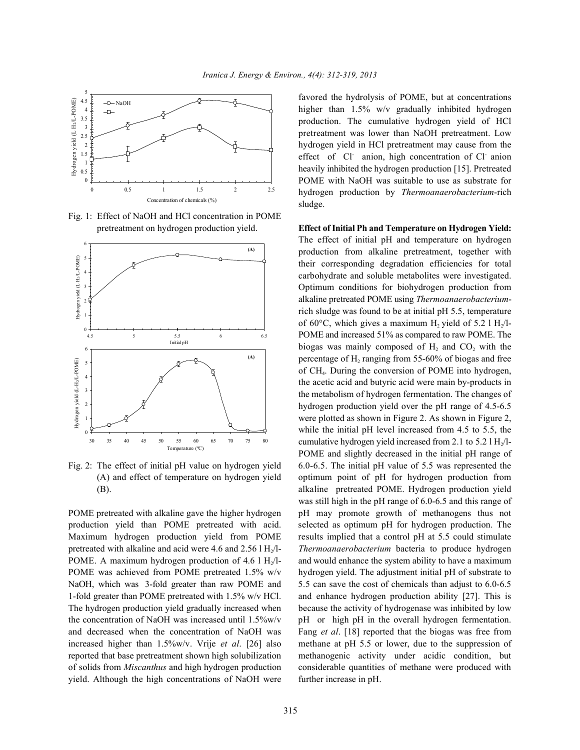

Fig. 1: Effect of NaOH and HCl concentration in POME pretreatment on hydrogen production yield. **Effect of Initial Ph and Temperature on Hydrogen Yield:**



yield. Although the high concentrations of NaOH were further increase in pH.

favored the hydrolysis of POME, but at concentrations higher than 1.5% w/v gradually inhibited hydrogen production. The cumulative hydrogen yield of HCl pretreatment was lower than NaOH pretreatment. Low hydrogen yield in HCl pretreatment may cause from the effect of Cl anion, high concentration of Cl anion heavily inhibited the hydrogen production [15]. Pretreated POME with NaOH was suitable to use as substrate for hydrogen production by *Thermoanaerobacterium*-rich sludge.

Fig. 2: The effect of initial pH value on hydrogen yield 6.0-6.5. The initial pH value of 5.5 was represented the (A) and effect of temperature on hydrogen yield optimum point of pH for hydrogen production from (B). alkaline pretreated POME. Hydrogen production yield POME pretreated with alkaline gave the higher hydrogen pH may promote growth of methanogens thus not production yield than POME pretreated with acid. selected as optimum pH for hydrogen production. The Maximum hydrogen production yield from POME results implied that a control pH at 5.5 could stimulate pretreated with alkaline and acid were 4.6 and 2.56 l H<sub>1</sub>/l-<br>Thermoanaerobacterium bacteria to produce hydrogen POME. A maximum hydrogen production of 4.6 l  $H_2/I$ - and would enhance the system ability to have a maximum POME was achieved from POME pretreated 1.5% w/v hydrogen yield. The adjustment initial pH of substrate to NaOH, which was 3-fold greater than raw POME and 5.5 can save the cost of chemicals than adjust to 6.0-6.5 1-fold greater than POME pretreated with 1.5% w/v HCl. and enhance hydrogen production ability [27]. This is The hydrogen production yield gradually increased when because the activity of hydrogenase was inhibited by low the concentration of NaOH was increased until  $1.5\%$  w/v pH or high pH in the overall hydrogen fermentation. and decreased when the concentration of NaOH was Fang *et al*. [18] reported that the biogas was free from increased higher than 1.5%w/v. Vrije *et al*. [26] also methane at pH 5.5 or lower, due to the suppression of reported that base pretreatment shown high solubilization methanogenic activity under acidic condition, but of solids from *Miscanthus* and high hydrogen production considerable quantities of methane were produced with The effect of initial pH and temperature on hydrogen production from alkaline pretreatment, together with their corresponding degradation efficiencies for total carbohydrate and soluble metabolites were investigated. Optimum conditions for biohydrogen production from alkaline pretreated POME using *Thermoanaerobacterium*rich sludge was found to be at initial pH 5.5, temperature of 60 $\degree$ C, which gives a maximum H<sub>2</sub> yield of 5.2 l H<sub>2</sub>/l-POME and increased 51% as compared to raw POME. The biogas was mainly composed of  $H<sub>2</sub>$  and  $CO<sub>2</sub>$  with the percentage of  $H_2$  ranging from 55-60% of biogas and free of CH<sub>4</sub>. During the conversion of POME into hydrogen, the acetic acid and butyric acid were main by-products in the metabolism of hydrogen fermentation. The changes of hydrogen production yield over the pH range of 4.5-6.5 were plotted as shown in Figure 2. As shown in Figure 2, while the initial pH level increased from 4.5 to 5.5, the cumulative hydrogen yield increased from 2.1 to 5.2 l  $H_2/I$ -POME and slightly decreased in the initial pH range of was still high in the pH range of 6.0-6.5 and this range of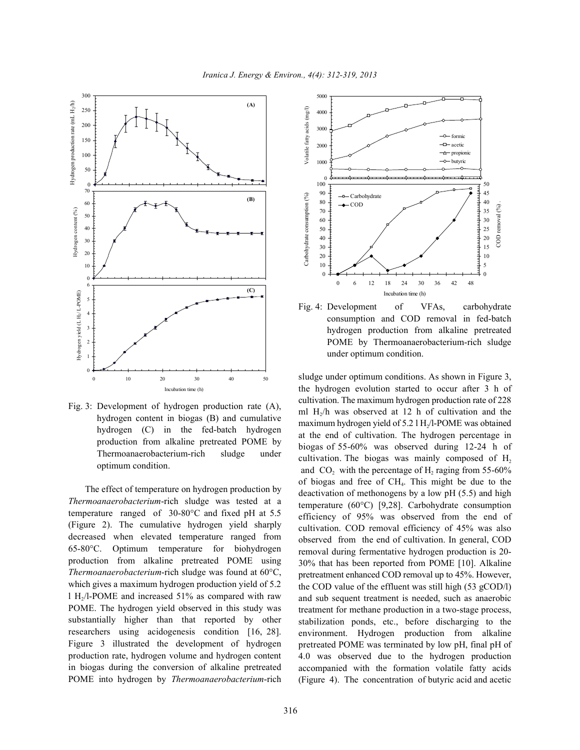

Fig. 3: Development of hydrogen production rate (A), hydrogen content in biogas (B) and cumulative hydrogen (C) in the fed-batch hydrogen production from alkaline pretreated POME by Thermoanaerobacterium-rich sludge under optimum condition.

The effect of temperature on hydrogen production by *Thermoanaerobacterium*-rich sludge was tested at a temperature ranged of 30-80°C and fixed pH at 5.5 (Figure 2). The cumulative hydrogen yield sharply decreased when elevated temperature ranged from 65-80°C. Optimum temperature for biohydrogen production from alkaline pretreated POME using *Thermoanaerobacterium*-rich sludge was found at 60°C, which gives a maximum hydrogen production yield of 5.2 l H<sub>2</sub>/l-POME and increased 51% as compared with raw POME. The hydrogen yield observed in this study was substantially higher than that reported by other researchers using acidogenesis condition [16, 28]. Figure 3 illustrated the development of hydrogen production rate, hydrogen volume and hydrogen content in biogas during the conversion of alkaline pretreated POME into hydrogen by *Thermoanaerobacterium*-rich



Fig. 4: Development of VFAs, carbohydrate consumption and COD removal in fed-batch hydrogen production from alkaline pretreated POME by Thermoanaerobacterium-rich sludge under optimum condition.

sludge under optimum conditions. As shown in Figure 3, the hydrogen evolution started to occur after 3 h of cultivation. The maximum hydrogen production rate of 228 ml  $H<sub>2</sub>/h$  was observed at 12 h of cultivation and the maximum hydrogen yield of  $5.2$  l H $/$ l-POME was obtained at the end of cultivation. The hydrogen percentage in biogas of 55-60% was observed during 12-24 h of cultivation. The biogas was mainly composed of  $H<sub>2</sub>$ and  $CO<sub>2</sub>$  with the percentage of H<sub>2</sub> raging from 55-60% of biogas and free of  $CH<sub>4</sub>$ . This might be due to the deactivation of methonogens by a low pH (5.5) and high temperature (60°C) [9,28]. Carbohydrate consumption efficiency of 95% was observed from the end of cultivation. COD removal efficiency of 45% was also observed from the end of cultivation. In general, COD removal during fermentative hydrogen production is 20- 30% that has been reported from POME [10]. Alkaline pretreatment enhanced COD removal up to 45%. However, the COD value of the effluent was still high (53 gCOD/l) and sub sequent treatment is needed, such as anaerobic treatment for methane production in a two-stage process, stabilization ponds, etc., before discharging to the environment. Hydrogen production from alkaline pretreated POME was terminated by low pH, final pH of 4.0 was observed due to the hydrogen production accompanied with the formation volatile fatty acids (Figure 4). The concentration of butyric acid and acetic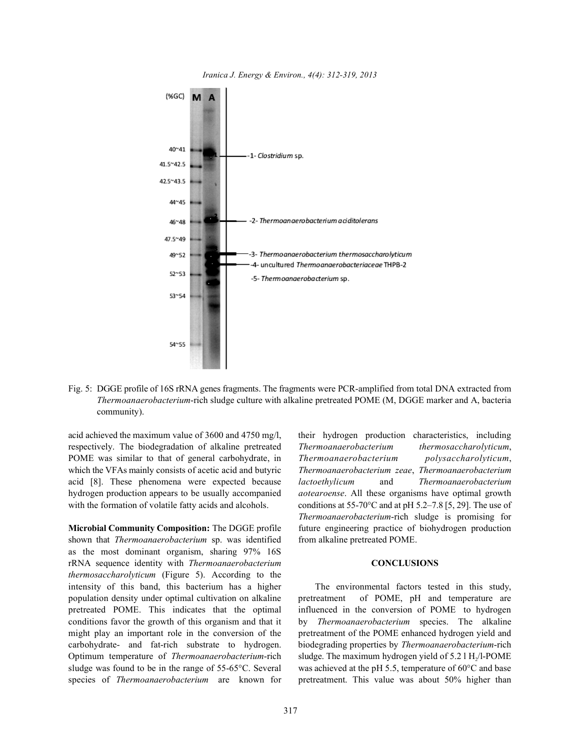

*Iranica J. Energy & Environ., 4(4): 312-319, 2013*

Fig. 5: DGGE profile of 16S rRNA genes fragments. The fragments were PCR-amplified from total DNA extracted from *Thermoanaerobacterium*-rich sludge culture with alkaline pretreated POME (M, DGGE marker and A, bacteria community).

respectively. The biodegradation of alkaline pretreated *Thermoanaerobacterium thermosaccharolyticum*, POME was similar to that of general carbohydrate, in *Thermoanaerobacterium polysaccharolyticum*, which the VFAs mainly consists of acetic acid and butyric *Thermoanaerobacterium zeae*, *Thermoanaerobacterium* acid [8]. These phenomena were expected because *lactoethylicum* and *Thermoanaerobacterium* hydrogen production appears to be usually accompanied *aotearoense*. All these organisms have optimal growth

**Microbial Community Composition:** The DGGE profile future engineering practice of biohydrogen production shown that *Thermoanaerobacterium* sp. was identified from alkaline pretreated POME. as the most dominant organism, sharing 97% 16S rRNA sequence identity with *Thermoanaerobacterium* **CONCLUSIONS** *thermosaccharolyticum* (Figure 5). According to the intensity of this band, this bacterium has a higher The environmental factors tested in this study, conditions favor the growth of this organism and that it by *Thermoanaerobacterium* species. The alkaline might play an important role in the conversion of the pretreatment of the POME enhanced hydrogen yield and Optimum temperature of *Thermoanaerobacterium*-rich sludge was found to be in the range of 55-65°C. Several was achieved at the pH 5.5, temperature of  $60^{\circ}$ C and base

acid achieved the maximum value of 3600 and 4750 mg/l, their hydrogen production characteristics, including with the formation of volatile fatty acids and alcohols. conditions at  $55-70^{\circ}$ C and at pH  $5.2-7.8$  [5, 29]. The use of *Thermoanaerobacterium*-rich sludge is promising for

population density under optimal cultivation on alkaline pretreatment of POME, pH and temperature are pretreated POME. This indicates that the optimal influenced in the conversion of POME to hydrogen carbohydrate- and fat-rich substrate to hydrogen. biodegrading properties by *Thermoanaerobacterium*-rich species of *Thermoanaerobacterium* are known for pretreatment. This value was about 50% higher than sludge. The maximum hydrogen yield of 5.2 l H<sub>2</sub>/l-POME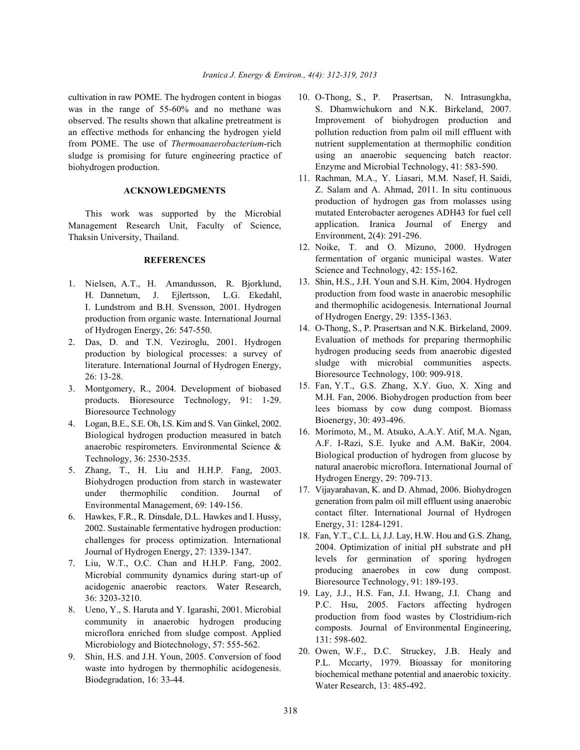was in the range of 55-60% and no methane was observed. The results shown that alkaline pretreatment is an effective methods for enhancing the hydrogen yield from POME. The use of *Thermoanaerobacterium*-rich sludge is promising for future engineering practice of biohydrogen production.

### **ACKNOWLEDGMENTS**

This work was supported by the Microbial Management Research Unit, Faculty of Science, Thaksin University, Thailand.

### **REFERENCES**

- 1. Nielsen, A.T., H. Amandusson, R. Bjorklund, H. Dannetum, J. Ejlertsson, L.G. Ekedahl, I. Lundstrom and B.H. Svensson, 2001. Hydrogen production from organic waste. International Journal of Hydrogen Energy, 26: 547-550.
- 2. Das, D. and T.N. Veziroglu, 2001. Hydrogen production by biological processes: a survey of literature. International Journal of Hydrogen Energy, 26: 13-28.
- 3. Montgomery, R., 2004. Development of biobased products. Bioresource Technology, 91: 1-29. Bioresource Technology
- 4. Logan, B.E., S.E. Oh, I.S. Kim and S. Van Ginkel, 2002. Biological hydrogen production measured in batch anaerobic respirometers. Environmental Science & Technology, 36: 2530-2535.
- 5. Zhang, T., H. Liu and H.H.P. Fang, 2003. Biohydrogen production from starch in wastewater under thermophilic condition. Journal of Environmental Management, 69: 149-156.
- 6. Hawkes, F.R., R. Dinsdale, D.L. Hawkes and I. Hussy, 2002. Sustainable fermentative hydrogen production: challenges for process optimization. International Journal of Hydrogen Energy, 27: 1339-1347.
- 7. Liu, W.T., O.C. Chan and H.H.P. Fang, 2002. Microbial community dynamics during start-up of acidogenic anaerobic reactors. Water Research, 36: 3203-3210.
- 8. Ueno, Y., S. Haruta and Y. Igarashi, 2001. Microbial community in anaerobic hydrogen producing microflora enriched from sludge compost. Applied Microbiology and Biotechnology, 57: 555-562.
- 9. Shin, H.S. and J.H. Youn, 2005. Conversion of food waste into hydrogen by thermophilic acidogenesis. Biodegradation, 16: 33-44.
- cultivation in raw POME. The hydrogen content in biogas 10. O-Thong, S., P. Prasertsan, N. Intrasungkha, S. Dhamwichukorn and N.K. Birkeland, 2007. Improvement of biohydrogen production and pollution reduction from palm oil mill effluent with nutrient supplementation at thermophilic condition using an anaerobic sequencing batch reactor. Enzyme and Microbial Technology, 41: 583-590.
	- 11. Rachman, M.A., Y. Liasari, M.M. Nasef, H. Saidi, Z. Salam and A. Ahmad, 2011. In situ continuous production of hydrogen gas from molasses using mutated Enterobacter aerogenes ADH43 for fuel cell application. Iranica Journal of Energy and Environment, 2(4): 291-296.
	- 12. Noike, T. and O. Mizuno, 2000. Hydrogen fermentation of organic municipal wastes. Water Science and Technology, 42: 155-162.
	- 13. Shin, H.S., J.H. Youn and S.H. Kim, 2004. Hydrogen production from food waste in anaerobic mesophilic and thermophilic acidogenesis. International Journal of Hydrogen Energy, 29: 1355-1363.
	- 14. O-Thong, S., P. Prasertsan and N.K. Birkeland, 2009. Evaluation of methods for preparing thermophilic hydrogen producing seeds from anaerobic digested sludge with microbial communities aspects. Bioresource Technology, 100: 909-918.
	- 15. Fan, Y.T., G.S. Zhang, X.Y. Guo, X. Xing and M.H. Fan, 2006. Biohydrogen production from beer lees biomass by cow dung compost. Biomass Bioenergy, 30: 493-496.
	- 16. Morimoto, M., M. Atsuko, A.A.Y. Atif, M.A. Ngan, A.F. I-Razi, S.E. Iyuke and A.M. BaKir, 2004. Biological production of hydrogen from glucose by natural anaerobic microflora. International Journal of Hydrogen Energy, 29: 709-713.
	- 17. Vijayarahavan, K. and D. Ahmad, 2006. Biohydrogen generation from palm oil mill effluent using anaerobic contact filter. International Journal of Hydrogen Energy, 31: 1284-1291.
	- 18. Fan, Y.T., C.L. Li, J.J. Lay, H.W. Hou and G.S. Zhang, 2004. Optimization of initial pH substrate and pH levels for germination of sporing hydrogen producing anaerobes in cow dung compost. Bioresource Technology, 91: 189-193.
	- 19. Lay, J.J., H.S. Fan, J.I. Hwang, J.I. Chang and P.C. Hsu, 2005. Factors affecting hydrogen production from food wastes by Clostridium-rich composts. Journal of Environmental Engineering, 131: 598-602.
	- 20. Owen, W.F., D.C. Struckey, J.B. Healy and P.L. Mccarty, 1979. Bioassay for monitoring biochemical methane potential and anaerobic toxicity. Water Research, 13: 485-492.